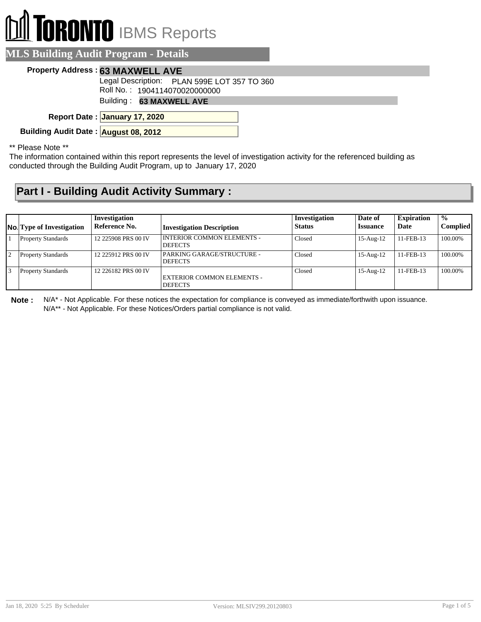# **RONTO** IBMS Reports

#### **MLS Building Audit Program - Details**

#### **Property Address : 63 MAXWELL AVE**

Legal Description: PLAN 599E LOT 357 TO 360

Roll No. : 1904114070020000000

Building : **63 MAXWELL AVE**

**January 17, 2020 Report Date :**

**Building Audit Date : August 08, 2012**

\*\* Please Note \*\*

The information contained within this report represents the level of investigation activity for the referenced building as conducted through the Building Audit Program, up to January 17, 2020

### **Part I - Building Audit Activity Summary :**

| <b>No.</b> Type of Investigation | Investigation<br>Reference No. | <b>Investigation Description</b>                    | Investigation<br><b>Status</b> | Date of<br><b>Issuance</b> | <b>Expiration</b><br>Date | $\frac{1}{2}$<br><b>Complied</b> |
|----------------------------------|--------------------------------|-----------------------------------------------------|--------------------------------|----------------------------|---------------------------|----------------------------------|
| <b>Property Standards</b>        | 12 225908 PRS 00 IV            | I INTERIOR COMMON ELEMENTS -<br><b>DEFECTS</b>      | Closed                         | $15-Aug-12$                | 11-FEB-13                 | 100.00%                          |
| <b>Property Standards</b>        | 12 225912 PRS 00 IV            | PARKING GARAGE/STRUCTURE -<br><b>DEFECTS</b>        | Closed                         | $15-Aug-12$                | 11-FEB-13                 | 100.00%                          |
| <b>Property Standards</b>        | 12 226182 PRS 00 IV            | <b>EXTERIOR COMMON ELEMENTS -</b><br><b>DEFECTS</b> | Closed                         | 15-Aug-12                  | $11 - FEB - 13$           | 100.00%                          |

**Note :** N/A\* - Not Applicable. For these notices the expectation for compliance is conveyed as immediate/forthwith upon issuance. N/A\*\* - Not Applicable. For these Notices/Orders partial compliance is not valid.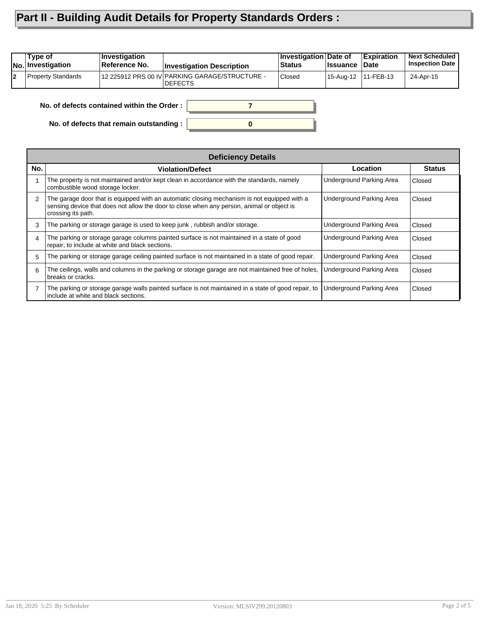## **Part II - Building Audit Details for Property Standards Orders :**

|    | Type of<br><b>No.</b> Investigation        | <b>Investigation</b><br>Reference No. | <b>Investigation Description</b>                                  | <b>Investigation Date of</b><br><b>Status</b> | <b>Issuance</b>       | Expiration<br>∣Date | <b>Next Scheduled</b><br><b>Inspection Date</b> |  |
|----|--------------------------------------------|---------------------------------------|-------------------------------------------------------------------|-----------------------------------------------|-----------------------|---------------------|-------------------------------------------------|--|
| l2 | <b>Property Standards</b>                  |                                       | 12 225912 PRS 00 IV PARKING GARAGE/STRUCTURE -<br><b>IDEFECTS</b> | <b>Closed</b>                                 | 15-Aug-12   11-FEB-13 |                     | 24-Apr-15                                       |  |
|    | No. of defects contained within the Order: |                                       |                                                                   |                                               |                       |                     |                                                 |  |

**0**

**No. of defects contained within the Order :**

**No. of defects that remain outstanding :**

|                | <b>Deficiency Details</b>                                                                                                                                                                                      |                          |               |  |  |  |  |  |
|----------------|----------------------------------------------------------------------------------------------------------------------------------------------------------------------------------------------------------------|--------------------------|---------------|--|--|--|--|--|
| No.            | <b>Violation/Defect</b>                                                                                                                                                                                        | Location                 | <b>Status</b> |  |  |  |  |  |
|                | The property is not maintained and/or kept clean in accordance with the standards, namely<br>combustible wood storage locker.                                                                                  | Underground Parking Area | Closed        |  |  |  |  |  |
| 2              | The garage door that is equipped with an automatic closing mechanism is not equipped with a<br>sensing device that does not allow the door to close when any person, animal or object is<br>crossing its path. | Underground Parking Area | Closed        |  |  |  |  |  |
| 3              | The parking or storage garage is used to keep junk, rubbish and/or storage.                                                                                                                                    | Underground Parking Area | Closed        |  |  |  |  |  |
| $\overline{4}$ | The parking or storage garage columns painted surface is not maintained in a state of good<br>repair, to include at white and black sections.                                                                  | Underground Parking Area | Closed        |  |  |  |  |  |
| 5              | The parking or storage garage ceiling painted surface is not maintained in a state of good repair.                                                                                                             | Underground Parking Area | Closed        |  |  |  |  |  |
| 6              | The ceilings, walls and columns in the parking or storage garage are not maintained free of holes,<br>breaks or cracks.                                                                                        | Underground Parking Area | Closed        |  |  |  |  |  |
|                | The parking or storage garage walls painted surface is not maintained in a state of good repair, to<br>include at white and black sections.                                                                    | Underground Parking Area | Closed        |  |  |  |  |  |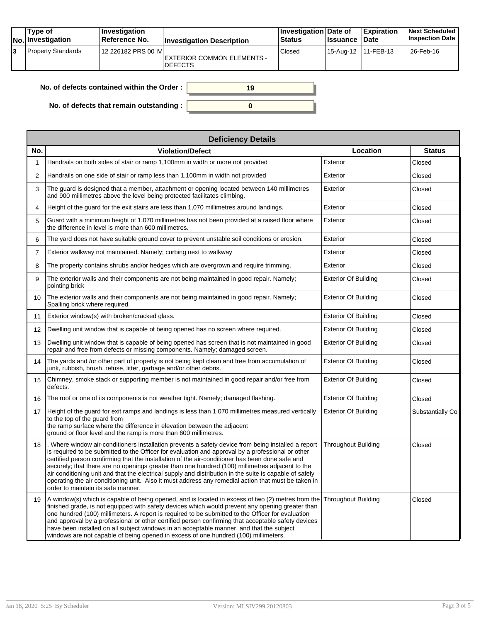| Type of<br><b>No.</b> Investigation | ∣Investiqation<br>∣Reference No. | <b>Investigation Description</b>             | Investigation Date of<br><b>Status</b> | <b>Issuance Date</b>  | <b>Expiration</b> | <b>Next Scheduled</b><br><b>Inspection Date I</b> |
|-------------------------------------|----------------------------------|----------------------------------------------|----------------------------------------|-----------------------|-------------------|---------------------------------------------------|
| <b>Property Standards</b>           | 12 226182 PRS 00 IVI             | EXTERIOR COMMON ELEMENTS -<br><b>DEFECTS</b> | Closed                                 | 15-Aug-12   11-FEB-13 |                   | 26-Feb-16                                         |

| No. of defects contained within the Order : | 19 |
|---------------------------------------------|----|
| No. of defects that remain outstanding :    |    |

|                | <b>Deficiency Details</b>                                                                                                                                                                                                                                                                                                                                                                                                                                                                                                                                                                                                                                              |                             |                  |  |  |  |  |  |
|----------------|------------------------------------------------------------------------------------------------------------------------------------------------------------------------------------------------------------------------------------------------------------------------------------------------------------------------------------------------------------------------------------------------------------------------------------------------------------------------------------------------------------------------------------------------------------------------------------------------------------------------------------------------------------------------|-----------------------------|------------------|--|--|--|--|--|
| No.            | <b>Violation/Defect</b>                                                                                                                                                                                                                                                                                                                                                                                                                                                                                                                                                                                                                                                | Location                    | <b>Status</b>    |  |  |  |  |  |
| 1              | Handrails on both sides of stair or ramp 1,100mm in width or more not provided                                                                                                                                                                                                                                                                                                                                                                                                                                                                                                                                                                                         | Exterior                    | Closed           |  |  |  |  |  |
| 2              | Handrails on one side of stair or ramp less than 1,100mm in width not provided                                                                                                                                                                                                                                                                                                                                                                                                                                                                                                                                                                                         | Exterior                    | Closed           |  |  |  |  |  |
| 3              | The quard is designed that a member, attachment or opening located between 140 millimetres<br>and 900 millimetres above the level being protected facilitates climbing.                                                                                                                                                                                                                                                                                                                                                                                                                                                                                                | Exterior                    | Closed           |  |  |  |  |  |
| 4              | Height of the guard for the exit stairs are less than 1,070 millimetres around landings.                                                                                                                                                                                                                                                                                                                                                                                                                                                                                                                                                                               | Exterior                    | Closed           |  |  |  |  |  |
| 5              | Guard with a minimum height of 1,070 millimetres has not been provided at a raised floor where<br>the difference in level is more than 600 millimetres.                                                                                                                                                                                                                                                                                                                                                                                                                                                                                                                | Exterior                    | Closed           |  |  |  |  |  |
| 6              | The yard does not have suitable ground cover to prevent unstable soil conditions or erosion.                                                                                                                                                                                                                                                                                                                                                                                                                                                                                                                                                                           | Exterior                    | Closed           |  |  |  |  |  |
| $\overline{7}$ | Exterior walkway not maintained. Namely; curbing next to walkway                                                                                                                                                                                                                                                                                                                                                                                                                                                                                                                                                                                                       | Exterior                    | Closed           |  |  |  |  |  |
| 8              | The property contains shrubs and/or hedges which are overgrown and require trimming.                                                                                                                                                                                                                                                                                                                                                                                                                                                                                                                                                                                   | Exterior                    | Closed           |  |  |  |  |  |
| 9              | The exterior walls and their components are not being maintained in good repair. Namely;<br>pointing brick                                                                                                                                                                                                                                                                                                                                                                                                                                                                                                                                                             | <b>Exterior Of Building</b> | Closed           |  |  |  |  |  |
| 10             | The exterior walls and their components are not being maintained in good repair. Namely;<br>Spalling brick where required.                                                                                                                                                                                                                                                                                                                                                                                                                                                                                                                                             | <b>Exterior Of Building</b> | Closed           |  |  |  |  |  |
| 11             | Exterior window(s) with broken/cracked glass.                                                                                                                                                                                                                                                                                                                                                                                                                                                                                                                                                                                                                          | <b>Exterior Of Building</b> | Closed           |  |  |  |  |  |
| 12             | Dwelling unit window that is capable of being opened has no screen where required.                                                                                                                                                                                                                                                                                                                                                                                                                                                                                                                                                                                     | <b>Exterior Of Building</b> | Closed           |  |  |  |  |  |
| 13             | Dwelling unit window that is capable of being opened has screen that is not maintained in good<br>repair and free from defects or missing components. Namely; damaged screen.                                                                                                                                                                                                                                                                                                                                                                                                                                                                                          | <b>Exterior Of Building</b> | Closed           |  |  |  |  |  |
| 14             | The yards and /or other part of property is not being kept clean and free from accumulation of<br>junk, rubbish, brush, refuse, litter, garbage and/or other debris.                                                                                                                                                                                                                                                                                                                                                                                                                                                                                                   | <b>Exterior Of Building</b> | Closed           |  |  |  |  |  |
| 15             | Chimney, smoke stack or supporting member is not maintained in good repair and/or free from<br>defects.                                                                                                                                                                                                                                                                                                                                                                                                                                                                                                                                                                | <b>Exterior Of Building</b> | Closed           |  |  |  |  |  |
| 16             | The roof or one of its components is not weather tight. Namely; damaged flashing.                                                                                                                                                                                                                                                                                                                                                                                                                                                                                                                                                                                      | <b>Exterior Of Building</b> | Closed           |  |  |  |  |  |
| 17             | Height of the guard for exit ramps and landings is less than 1,070 millimetres measured vertically<br>to the top of the quard from<br>the ramp surface where the difference in elevation between the adjacent<br>ground or floor level and the ramp is more than 600 millimetres.                                                                                                                                                                                                                                                                                                                                                                                      | Exterior Of Building        | Substantially Co |  |  |  |  |  |
| 18             | . Where window air-conditioners installation prevents a safety device from being installed a report<br>is required to be submitted to the Officer for evaluation and approval by a professional or other<br>certified person confirming that the installation of the air-conditioner has been done safe and<br>securely; that there are no openings greater than one hundred (100) millimetres adjacent to the<br>air conditioning unit and that the electrical supply and distribution in the suite is capable of safely<br>operating the air conditioning unit. Also it must address any remedial action that must be taken in<br>order to maintain its safe manner. | <b>Throughout Building</b>  | Closed           |  |  |  |  |  |
| 19             | A window(s) which is capable of being opened, and is located in excess of two (2) metres from the<br>finished grade, is not equipped with safety devices which would prevent any opening greater than<br>one hundred (100) millimeters. A report is required to be submitted to the Officer for evaluation<br>and approval by a professional or other certified person confirming that acceptable safety devices<br>have been installed on all subject windows in an acceptable manner, and that the subject<br>windows are not capable of being opened in excess of one hundred (100) millimeters.                                                                    | <b>Throughout Building</b>  | Closed           |  |  |  |  |  |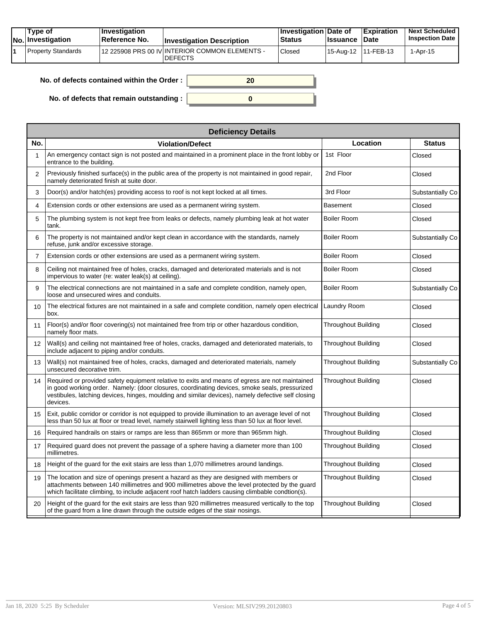|  | Tvpe of<br>$ No $ Investigation | <b>Investigation</b><br>⊺Reference No. | <b>Investigation Description</b>                                 | <b>Investigation Date of</b><br><b>Status</b> | <b>Ilssuance Date</b> | <b>Expiration</b> | <b>Next Scheduled</b><br><b>Inspection Date</b> |
|--|---------------------------------|----------------------------------------|------------------------------------------------------------------|-----------------------------------------------|-----------------------|-------------------|-------------------------------------------------|
|  | Property Standards              |                                        | 12 225908 PRS 00 IV INTERIOR COMMON ELEMENTS -<br><b>DEFECTS</b> | Closed                                        | 15-Aug-12   11-FEB-13 |                   | 1-Apr-15                                        |

| No. of defects contained within the Order: | 20 |
|--------------------------------------------|----|
| No. of defects that remain outstanding :   |    |

|                   | <b>Deficiency Details</b>                                                                                                                                                                                                                                                                                         |                            |                  |  |  |  |  |  |
|-------------------|-------------------------------------------------------------------------------------------------------------------------------------------------------------------------------------------------------------------------------------------------------------------------------------------------------------------|----------------------------|------------------|--|--|--|--|--|
| No.               | <b>Violation/Defect</b>                                                                                                                                                                                                                                                                                           | Location                   | <b>Status</b>    |  |  |  |  |  |
| 1                 | An emergency contact sign is not posted and maintained in a prominent place in the front lobby or<br>entrance to the building.                                                                                                                                                                                    | 1st Floor                  | Closed           |  |  |  |  |  |
| $\overline{2}$    | Previously finished surface(s) in the public area of the property is not maintained in good repair,<br>namely deteriorated finish at suite door.                                                                                                                                                                  | 2nd Floor                  | Closed           |  |  |  |  |  |
| 3                 | Door(s) and/or hatch(es) providing access to roof is not kept locked at all times.                                                                                                                                                                                                                                | 3rd Floor                  | Substantially Co |  |  |  |  |  |
| 4                 | Extension cords or other extensions are used as a permanent wiring system.                                                                                                                                                                                                                                        | Basement                   | Closed           |  |  |  |  |  |
| 5                 | The plumbing system is not kept free from leaks or defects, namely plumbing leak at hot water<br>tank.                                                                                                                                                                                                            | <b>Boiler Room</b>         | Closed           |  |  |  |  |  |
| 6                 | The property is not maintained and/or kept clean in accordance with the standards, namely<br>refuse, junk and/or excessive storage.                                                                                                                                                                               | <b>Boiler Room</b>         | Substantially Co |  |  |  |  |  |
| 7                 | Extension cords or other extensions are used as a permanent wiring system.                                                                                                                                                                                                                                        | <b>Boiler Room</b>         | Closed           |  |  |  |  |  |
| 8                 | Ceiling not maintained free of holes, cracks, damaged and deteriorated materials and is not<br>impervious to water (re: water leak(s) at ceiling).                                                                                                                                                                | <b>Boiler Room</b>         | Closed           |  |  |  |  |  |
| 9                 | The electrical connections are not maintained in a safe and complete condition, namely open,<br>loose and unsecured wires and conduits.                                                                                                                                                                           | Boiler Room                | Substantially Co |  |  |  |  |  |
| 10                | The electrical fixtures are not maintained in a safe and complete condition, namely open electrical<br>box.                                                                                                                                                                                                       | Laundry Room               | Closed           |  |  |  |  |  |
| 11                | Floor(s) and/or floor covering(s) not maintained free from trip or other hazardous condition,<br>namely floor mats.                                                                                                                                                                                               | Throughout Building        | Closed           |  |  |  |  |  |
| $12 \overline{ }$ | Wall(s) and ceiling not maintained free of holes, cracks, damaged and deteriorated materials, to<br>include adjacent to piping and/or conduits.                                                                                                                                                                   | <b>Throughout Building</b> | Closed           |  |  |  |  |  |
| 13                | Wall(s) not maintained free of holes, cracks, damaged and deteriorated materials, namely<br>unsecured decorative trim.                                                                                                                                                                                            | <b>Throughout Building</b> | Substantially Co |  |  |  |  |  |
| 14                | Required or provided safety equipment relative to exits and means of egress are not maintained<br>in good working order. Namely: (door closures, coordinating devices, smoke seals, pressurized<br>vestibules, latching devices, hinges, moulding and similar devices), namely defective self closing<br>devices. | <b>Throughout Building</b> | Closed           |  |  |  |  |  |
| 15                | Exit, public corridor or corridor is not equipped to provide illumination to an average level of not<br>less than 50 lux at floor or tread level, namely stairwell lighting less than 50 lux at floor level.                                                                                                      | Throughout Building        | Closed           |  |  |  |  |  |
| 16                | Required handrails on stairs or ramps are less than 865mm or more than 965mm high.                                                                                                                                                                                                                                | <b>Throughout Building</b> | Closed           |  |  |  |  |  |
| 17                | Required guard does not prevent the passage of a sphere having a diameter more than 100<br>millimetres.                                                                                                                                                                                                           | Throughout Building        | Closed           |  |  |  |  |  |
| 18                | Height of the guard for the exit stairs are less than 1,070 millimetres around landings.                                                                                                                                                                                                                          | <b>Throughout Building</b> | Closed           |  |  |  |  |  |
| 19                | The location and size of openings present a hazard as they are designed with members or<br>attachments between 140 millimetres and 900 millimetres above the level protected by the guard<br>which facilitate climbing, to include adjacent roof hatch ladders causing climbable condtion(s).                     | <b>Throughout Building</b> | Closed           |  |  |  |  |  |
| 20                | Height of the guard for the exit stairs are less than 920 millimetres measured vertically to the top<br>of the guard from a line drawn through the outside edges of the stair nosings.                                                                                                                            | <b>Throughout Building</b> | Closed           |  |  |  |  |  |